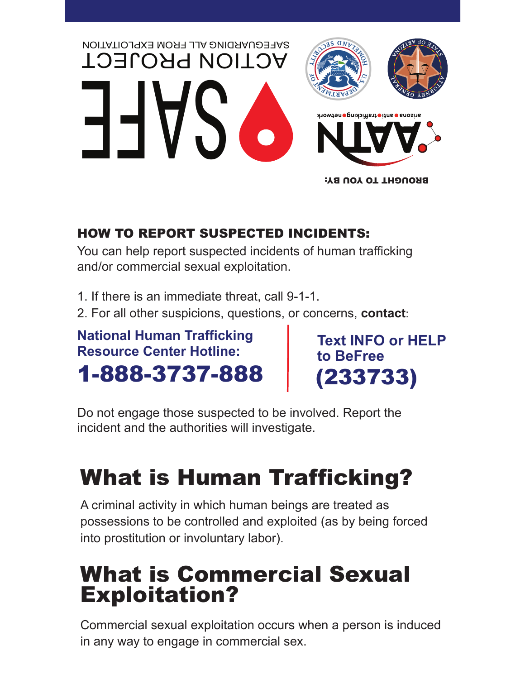

### BROUGHT TO YOU BY:

### HOW TO REPORT SUSPECTED INCIDENTS:

You can help report suspected incidents of human trafficking and/or commercial sexual exploitation.

1. If there is an immediate threat, call 9-1-1.

2. For all other suspicions, questions, or concerns, **contact**:

### **National Human Trafficking Resource Center Hotline:** 1-888-3737-888

**Text INFO or HELP to BeFree**  (233733)

Do not engage those suspected to be involved. Report the incident and the authorities will investigate.

## What is Human Trafficking?

A criminal activity in which human beings are treated as possessions to be controlled and exploited (as by being forced into prostitution or involuntary labor).

## What is Commercial Sexual Exploitation?

Commercial sexual exploitation occurs when a person is induced in any way to engage in commercial sex.